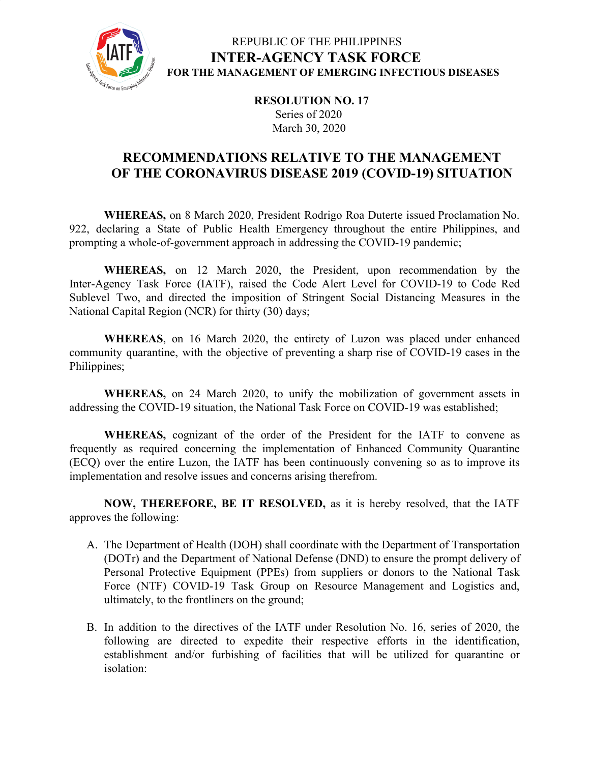

# REPUBLIC OF THE PHILIPPINES **INTER-AGENCY TASK FORCE FOR THE MANAGEMENT OF EMERGING INFECTIOUS DISEASES**

**RESOLUTION NO. 17** Series of 2020 March 30, 2020

# **RECOMMENDATIONS RELATIVE TO THE MANAGEMENT OF THE CORONAVIRUS DISEASE 2019 (COVID-19) SITUATION**

**WHEREAS,** on 8 March 2020, President Rodrigo Roa Duterte issued Proclamation No. 922, declaring a State of Public Health Emergency throughout the entire Philippines, and prompting a whole-of-government approach in addressing the COVID-19 pandemic;

**WHEREAS,** on 12 March 2020, the President, upon recommendation by the Inter-Agency Task Force (IATF), raised the Code Alert Level for COVID-19 to Code Red Sublevel Two, and directed the imposition of Stringent Social Distancing Measures in the National Capital Region (NCR) for thirty (30) days;

**WHEREAS**, on 16 March 2020, the entirety of Luzon was placed under enhanced community quarantine, with the objective of preventing a sharp rise of COVID-19 cases in the Philippines;

**WHEREAS,** on 24 March 2020, to unify the mobilization of government assets in addressing the COVID-19 situation, the National Task Force on COVID-19 was established;

**WHEREAS,** cognizant of the order of the President for the IATF to convene as frequently as required concerning the implementation of Enhanced Community Quarantine (ECQ) over the entire Luzon, the IATF has been continuously convening so as to improve its implementation and resolve issues and concerns arising therefrom.

**NOW, THEREFORE, BE IT RESOLVED,** as it is hereby resolved, that the IATF approves the following:

- A. The Department of Health (DOH) shall coordinate with the Department of Transportation (DOTr) and the Department of National Defense (DND) to ensure the prompt delivery of Personal Protective Equipment (PPEs) from suppliers or donors to the National Task Force (NTF) COVID-19 Task Group on Resource Management and Logistics and, ultimately, to the frontliners on the ground;
- B. In addition to the directives of the IATF under Resolution No. 16, series of 2020, the following are directed to expedite their respective efforts in the identification, establishment and/or furbishing of facilities that will be utilized for quarantine or isolation: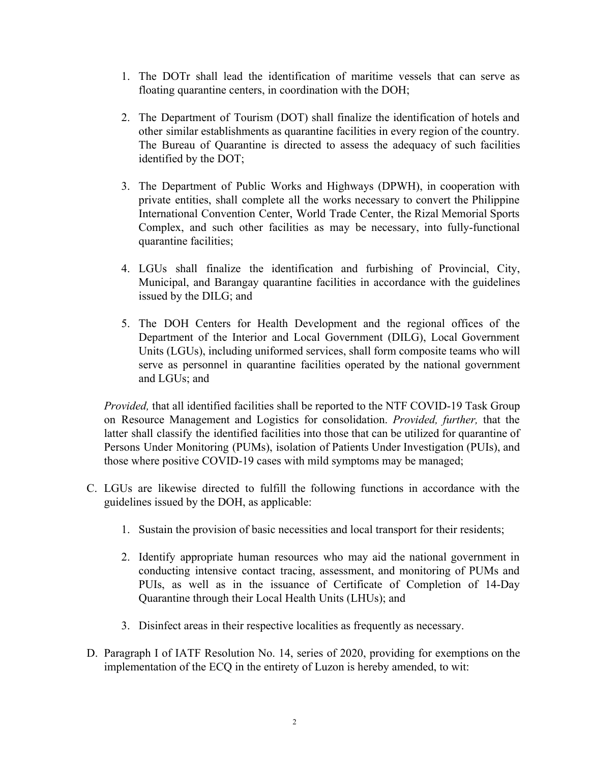- 1. The DOTr shall lead the identification of maritime vessels that can serve as floating quarantine centers, in coordination with the DOH;
- 2. The Department of Tourism (DOT) shall finalize the identification of hotels and other similar establishments as quarantine facilities in every region of the country. The Bureau of Quarantine is directed to assess the adequacy of such facilities identified by the DOT;
- 3. The Department of Public Works and Highways (DPWH), in cooperation with private entities, shall complete all the works necessary to convert the Philippine International Convention Center, World Trade Center, the Rizal Memorial Sports Complex, and such other facilities as may be necessary, into fully-functional quarantine facilities;
- 4. LGUs shall finalize the identification and furbishing of Provincial, City, Municipal, and Barangay quarantine facilities in accordance with the guidelines issued by the DILG; and
- 5. The DOH Centers for Health Development and the regional offices of the Department of the Interior and Local Government (DILG), Local Government Units (LGUs), including uniformed services, shall form composite teams who will serve as personnel in quarantine facilities operated by the national government and LGUs; and

*Provided,* that all identified facilities shall be reported to the NTF COVID-19 Task Group on Resource Management and Logistics for consolidation. *Provided, further,* that the latter shall classify the identified facilities into those that can be utilized for quarantine of Persons Under Monitoring (PUMs), isolation of Patients Under Investigation (PUIs), and those where positive COVID-19 cases with mild symptoms may be managed;

- C. LGUs are likewise directed to fulfill the following functions in accordance with the guidelines issued by the DOH, as applicable:
	- 1. Sustain the provision of basic necessities and local transport for their residents;
	- 2. Identify appropriate human resources who may aid the national government in conducting intensive contact tracing, assessment, and monitoring of PUMs and PUIs, as well as in the issuance of Certificate of Completion of 14-Day Quarantine through their Local Health Units (LHUs); and
	- 3. Disinfect areas in their respective localities as frequently as necessary.
- D. Paragraph I of IATF Resolution No. 14, series of 2020, providing for exemptions on the implementation of the ECQ in the entirety of Luzon is hereby amended, to wit: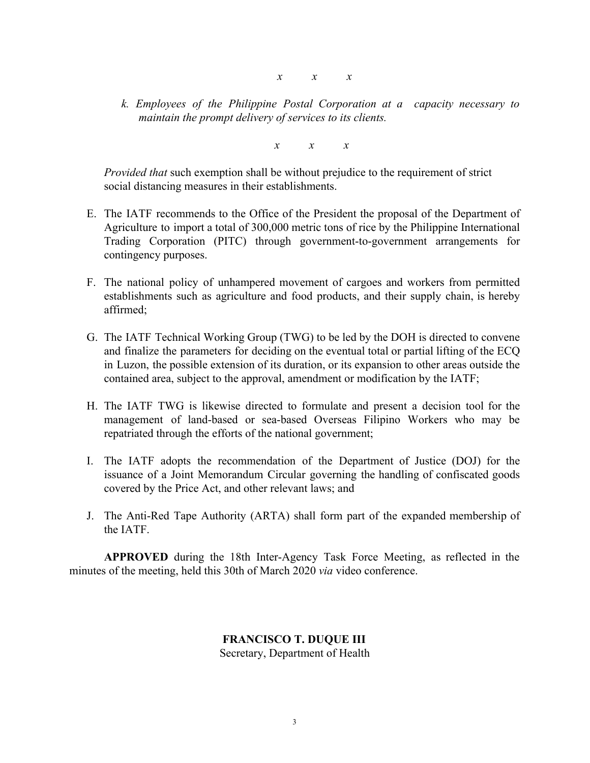- *x x x*
- *k. Employees of the Philippine Postal Corporation at a capacity necessary to maintain the prompt delivery of services to its clients.*

*x x x*

*Provided that* such exemption shall be without prejudice to the requirement of strict social distancing measures in their establishments.

- E. The IATF recommends to the Office of the President the proposal of the Department of Agriculture to import a total of 300,000 metric tons of rice by the Philippine International Trading Corporation (PITC) through government-to-government arrangements for contingency purposes.
- F. The national policy of unhampered movement of cargoes and workers from permitted establishments such as agriculture and food products, and their supply chain, is hereby affirmed;
- G. The IATF Technical Working Group (TWG) to be led by the DOH is directed to convene and finalize the parameters for deciding on the eventual total or partial lifting of the ECQ in Luzon, the possible extension of its duration, or its expansion to other areas outside the contained area, subject to the approval, amendment or modification by the IATF;
- H. The IATF TWG is likewise directed to formulate and present a decision tool for the management of land-based or sea-based Overseas Filipino Workers who may be repatriated through the efforts of the national government;
- I. The IATF adopts the recommendation of the Department of Justice (DOJ) for the issuance of a Joint Memorandum Circular governing the handling of confiscated goods covered by the Price Act, and other relevant laws; and
- J. The Anti-Red Tape Authority (ARTA) shall form part of the expanded membership of the IATF.

**APPROVED** during the 18th Inter-Agency Task Force Meeting, as reflected in the minutes of the meeting, held this 30th of March 2020 *via* video conference.

# **FRANCISCO T. DUQUE III**

Secretary, Department of Health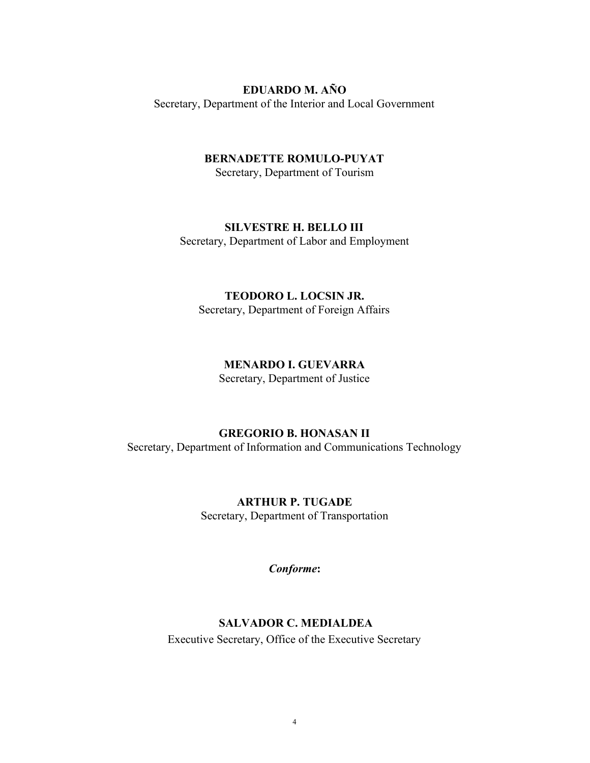#### **EDUARDO M. AÑO**

Secretary, Department of the Interior and Local Government

## **BERNADETTE ROMULO-PUYAT**

Secretary, Department of Tourism

#### **SILVESTRE H. BELLO III**

Secretary, Department of Labor and Employment

#### **TEODORO L. LOCSIN JR.**

Secretary, Department of Foreign Affairs

#### **MENARDO I. GUEVARRA**

Secretary, Department of Justice

## **GREGORIO B. HONASAN II**

Secretary, Department of Information and Communications Technology

# **ARTHUR P. TUGADE** Secretary, Department of Transportation

*Conforme***:**

#### **SALVADOR C. MEDIALDEA**

Executive Secretary, Office of the Executive Secretary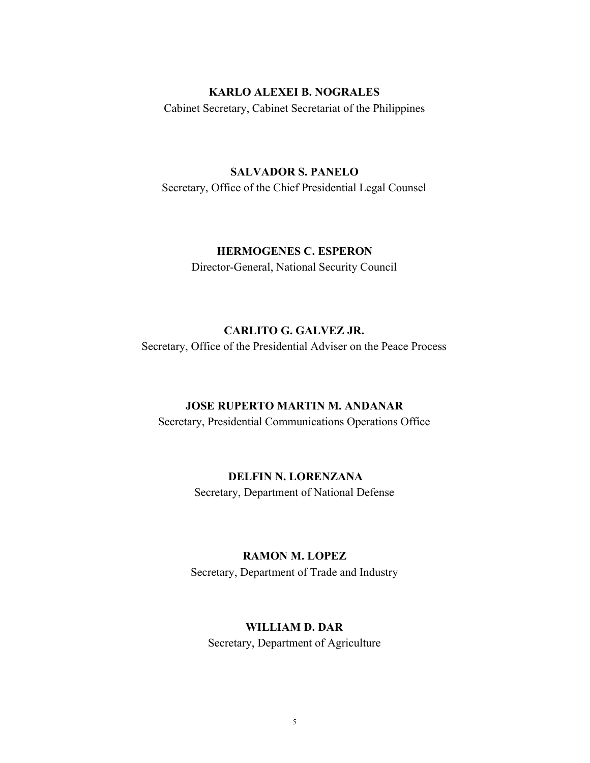## **KARLO ALEXEI B. NOGRALES**

Cabinet Secretary, Cabinet Secretariat of the Philippines

#### **SALVADOR S. PANELO**

Secretary, Office of the Chief Presidential Legal Counsel

# **HERMOGENES C. ESPERON**

Director-General, National Security Council

# **CARLITO G. GALVEZ JR.**

Secretary, Office of the Presidential Adviser on the Peace Process

#### **JOSE RUPERTO MARTIN M. ANDANAR**

Secretary, Presidential Communications Operations Office

# **DELFIN N. LORENZANA**

Secretary, Department of National Defense

#### **RAMON M. LOPEZ**

Secretary, Department of Trade and Industry

#### **WILLIAM D. DAR**

Secretary, Department of Agriculture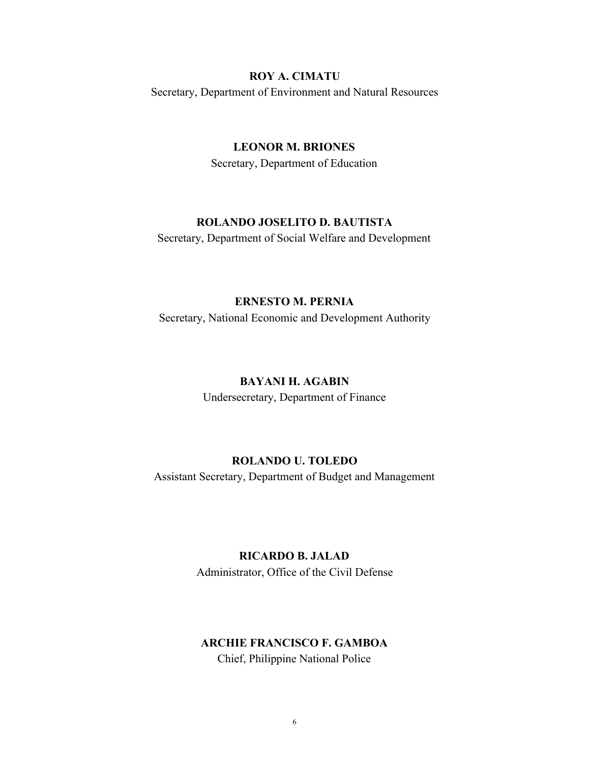# **ROY A. CIMATU**

Secretary, Department of Environment and Natural Resources

# **LEONOR M. BRIONES**

Secretary, Department of Education

# **ROLANDO JOSELITO D. BAUTISTA**

Secretary, Department of Social Welfare and Development

## **ERNESTO M. PERNIA**

Secretary, National Economic and Development Authority

### **BAYANI H. AGABIN**

Undersecretary, Department of Finance

# **ROLANDO U. TOLEDO**

Assistant Secretary, Department of Budget and Management

# **RICARDO B. JALAD**

Administrator, Office of the Civil Defense

# **ARCHIE FRANCISCO F. GAMBOA**

Chief, Philippine National Police